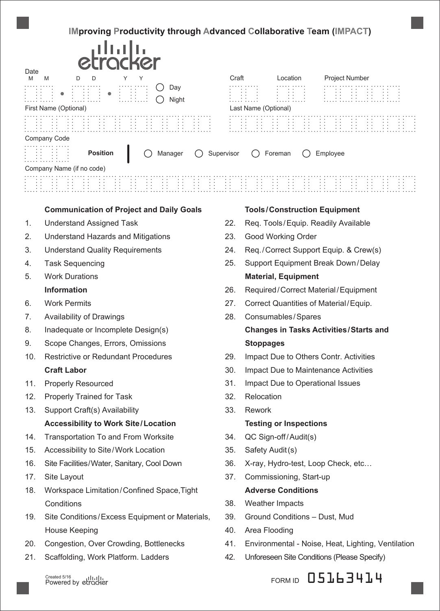# **IMproving Productivity through Advanced Collaborative Team (IMPACT)**

| Date | etrocker                                        |       |                      |                                     |                                     |  |
|------|-------------------------------------------------|-------|----------------------|-------------------------------------|-------------------------------------|--|
| M    | M<br>D<br>Υ<br>Υ<br>D                           | Craft |                      | Location                            | <b>Project Number</b>               |  |
|      | Day<br>Night<br>First Name (Optional)           |       | Last Name (Optional) | $\cdot$ $\cdot$                     |                                     |  |
|      |                                                 |       |                      |                                     |                                     |  |
|      | Company Code                                    |       |                      |                                     |                                     |  |
|      | Position<br>$\bigcirc$ Supervisor<br>Manager    |       |                      | Foreman                             | Employee                            |  |
|      | Company Name (if no code)                       |       |                      |                                     |                                     |  |
|      |                                                 |       |                      |                                     |                                     |  |
|      | <b>Communication of Project and Daily Goals</b> |       |                      | <b>Tools/Construction Equipment</b> |                                     |  |
| 1.   | <b>Understand Assigned Task</b>                 | 22.   |                      |                                     | Req. Tools/Equip. Readily Available |  |

- 2. Understand Hazards and Mitigations
- 3. Understand Quality Requirements
- 4. Task Sequencing
- 5. Work Durations

## **Information**

- 6. Work Permits
- 7. Availability of Drawings
- 8. Inadequate or Incomplete Design(s)
- 9. Scope Changes, Errors, Omissions
- 10. Restrictive or Redundant Procedures **Craft Labor**
- 11. Properly Resourced
- 12. Properly Trained for Task
- 13. Support Craft(s) Availability **Accessibility to Work Site/Location**
- 14. Transportation To and From Worksite
- 15. Accessibility to Site/Work Location
- 16. Site Facilities/Water, Sanitary, Cool Down
- 17. Site Layout
- 18. Workspace Limitation/Confined Space,Tight **Conditions**
- 19. Site Conditions/Excess Equipment or Materials, House Keeping
- 20. Congestion, Over Crowding, Bottlenecks
- 21. Scaffolding, Work Platform. Ladders

Created 5/16<br>Powered by etrocker

- 22. Req. Tools/Equip. Readily Available
- 23. Good Working Order
- 24. Req./Correct Support Equip. & Crew(s)
- 25. Support Equipment Break Down/Delay **Material, Equipment**
- 26. Required/Correct Material/Equipment
- 27. Correct Quantities of Material/Equip.
- 28. Consumables/Spares

# **Changes in Tasks Activities/Starts and Stoppages**

- 29. Impact Due to Others Contr. Activities
- 30. Impact Due to Maintenance Activities
- 31. Impact Due to Operational Issues
- 32. Relocation
- 33. Rework

### **Testing or Inspections**

- 34. QC Sign-off/Audit(s)
- 35. Safety Audit(s)
- 36. X-ray, Hydro-test, Loop Check, etc…
- 37. Commissioning, Start-up

## **Adverse Conditions**

- 38. Weather Impacts
- 39. Ground Conditions Dust, Mud
- 40. Area Flooding
- 41. Environmental Noise, Heat, Lighting, Ventilation
- 42. Unforeseen Site Conditions (Please Specify)